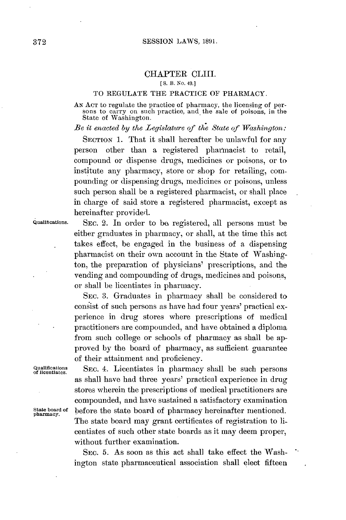## CHAPTER CLIII.

## **[ S.** B. *No.* 49.]

## TO **REGULATE** THE PRACTICE OF PHARMACY.

**AN ACr** to regulate the practice of pharmacy, the licensing of per- sons to carry on such practice, and the sale of poisons, in the State of Washington.

*Be it enacted by the Legislature of the State of Washington:*

**SECTION 1.** That it shall hereafter **be** unlawful for any person other than a registered pharmacist to retail, compound or dispense drugs, medicines or poisons, or to institute any pharmacy, store or shop for retailing, compounding or dispensing drugs, medicines or poisons, unless such person shall be a registered pharmacist, or shall place in charge of said store a registered pharmacist, except as hereinafter provided.

Qualications. SEC. 2. In order to **be** registered, **all** persons must be either graduates in pharmacy, or shall, at the time this act takes effect, be engaged in the business of a dispensing pharmacist on their own account in the State of Washington, the preparation of physicians' prescriptions, and the vending and compounding of drugs, medicines and poisons, or shall be licentiates in pharmacy.

> **SEC. 3.** Graduates in pharmacy shall be considered to consist of such persons as have had four years' practical experience in drug stores where prescriptions of medical practitioners are compounded, and have obtained a diploma from such college or schools of pharmacy as shall be approved **by** the board of pharmacy, as sufficient guarantee of their attainment and proficiency.

Qualifications SEC. 4. Licentiates in pharmacy shall be such persons of licentiates. as shall have had three years' practical experience in drug stores wherein the prescriptions of medical practitioners are compounded, and have sustained a satisfactory examination State board of before the state board of pharmacy hereinafter mentioned. The state board may grant certificates of registration to licentiates of such other state boards as it may deem proper, without further examination.

> **SEC. 5.** As soon as this act shall take effect the Washington state pharmaceutical association shall elect fifteen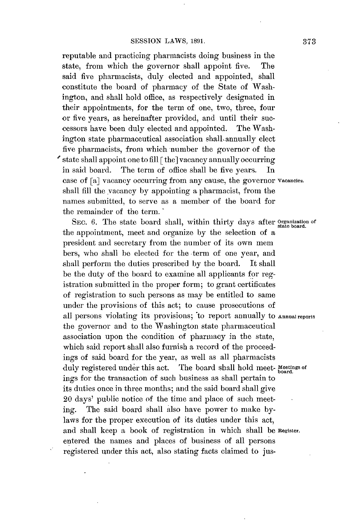reputable and practicing pharmacists doing business in the state, from which the governor shall appoint five. The said five pharmacists, duly elected and appointed, shall constitute the board of pharmacy of the State of Washington, and shall hold office, as respectively designated in their appointments, for the term of one, two, three, four or five years, as hereinafter provided, and until their successors have been duly elected and appointed. The Washington state pharmaceutical association shall annually elect five pharmacists, from which number the governor of the state shall appoint one to fill [the] vacancy annually occurring in said board. The term of office shall be five years. In case of [a] vacancy occurring from any cause, the governor **vacancies.** shall **fill** the vacancy **by** appointing a pbarmacist, from the names submitted, to serve as a member of the board for the remainder of the term.

SEC. 6. The state board shall, within thirty days after **Organization** of the appointment, meet and organize **by** the selection of a president and secretary from the number of its own mem bers, who shall be elected for the -term of one year, and shall perform the duties prescribed **by** the board. It shall be the duty of the board to examine all applicants for registration submitted in the proper form; to grant certificates of registration to such persons as may be entitled to same under the provisions of this act; to cause prosecutions of all persons violating its provisions; 'to report annually to **Annualreports** the governor and to the Washington state pharmaceutical association upon the condition of pharmacy in the state, which said report shall also furnish a record of the proceedings of said board for the year, as well as all pharmacists duly registered under this act. The board shall hold meet- Meetings of ings for the transaction of such business as shall pertain to its duties once in three months; and the said board shall give 20 days' public notice of the time and place of such meeting. The said board shall also have power to make **by**laws for the proper execution of its duties under this act, and shall keep a book of registration in which shall be **Register.** entered the names and places of business of all persons registered under this act, also stating facts claimed to jus-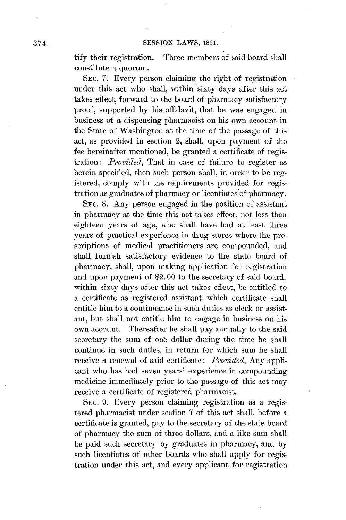tify their registration. Three members of said board shall constitute a quorum.

**SEC. 7.** Every person claiming the right of registration under this act who shall, within sixty days after this act takes **effect,** forward **to** the board **of** pharmacy **satisfactory** proof, supported **by** his affidavit, that he was engaged in business of a dispensing pharmacist on his own account in the State of Washington at the time of the passage of this act, as provided in section 2, shall, upon payment of the fee hereinafter mentioned, be granted a certificate of registration: *Provided,* That in case of failure to register as herein specified, then such person shall, in order to be registered, comply with the requirements provided for registration as graduates of pharmacy or licentiates of pharmacy.

SEC. **8.** Any person engaged in the position of assistant in pharmacy at the time this act takes effect, not less than eighteen years of age, who shall have had at least three years of practical experience in drug stores where the prescriptions of medical practitioners are compounded, and shall furnish satisfactory evidence to the state board of pharmacy, shall, upon making application for registration and upon payment of \$2. **00** to the secretary of said board, within sixty days after this act takes effect, be entitled to a certificate as registered assistant, which certificate shall entitle him to a continuance in such duties as clerk or assistant, but shall not entitle him to engage in business on his own account. Thereafter he shall pay annually to the said secretary the sum of one dollar during the time he shall continue in such duties, in return for which sum he shall receive **a** renewal of said certificate: *Provided,* Any applicant who has had seven years' experience in compounding medicine immediately prior to the passage of this act may receive a certificate of registered pharmacist.

**SEC. 9.** Every person claiming registration as a registered pharmacist under section **7** of this act shall, before a certificate is granted, pay to the secretary of the state board of pharmacy the sum of three dollars, and a like sum shall be paid such secretary **by** graduates in pharmacy, and **by** such licentiates of other boards who shall apply for registration under this act, and every applicant for registration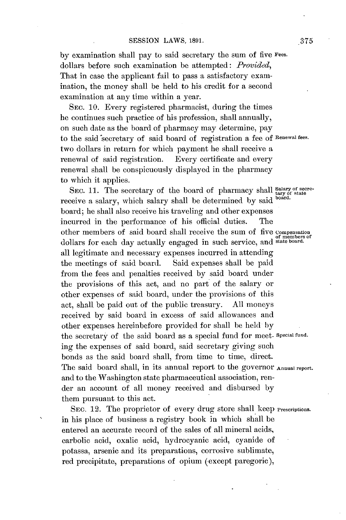**by** examination shall pay to said secretary the sum of five **Fees.** dollars before such examination be attempted: *Provided,* That in case the applicant fail to pass a satisfactory examination, the money shall be held to his credit for a second examination at any time within a year.

SEC. **10.** Every registered pharmacist, during the times he continues such practice of his profession, shall annually, on such date as the board of pharmacy may determine, pay to the said 'secretary of said board of registration a fee **of Renewal fees.** two dollars in return for which payment he shall receive a renewal of said registration. Every certificate and every renewal shall be conspicuously displayed in the pharmacy to which it applies.

SEC. 11. The secretary of the board of pharmacy shall salary of secrereceive a salary, which salary shall be determined **by** said **board.** board; he shall also receive his traveling and other expenses incurred in the performance of his official duties. The other members of said board shall receive the sum of five **Compensation of members of** dollars for each day actually engaged in such service, and **state board.** all legitimate and necessary expenses incurred in attending the meetings of said board. Said expenses shall be paid from the fees and penalties received **by** said board under the provisions of this act, and no part of the salary or other expenses of said board, under the provisions of this act, shall be paid out of the public treasury. **All** moneys received **by** said board in excess of said allowances and other expenses hereinbefore provided for shall be held **by** the secretary of the said board as a special fund for meet- **Special fund.** ing the expenses of said board, said secretary giving such bonds as the said board shall, from time to time, direct. The said board shall, in its annual report to the governor **Annual report.** and to the Washington state pharmaceutical association, render an account of **all** money received and disbursed **by** them pursuant to this act.

SEC. 12. The proprietor of every drug store shall keep *Prescriptions*. in his place of business a registry book in which shall be entered an accurate record of the sales of **all** mineral acids, carbolic acid, oxalic acid, hydrocyanic acid, cyanide of potassa, arsenic and its preparations, corrosive sublimate, red precipitate, preparations of opium (except paregoric),

**375**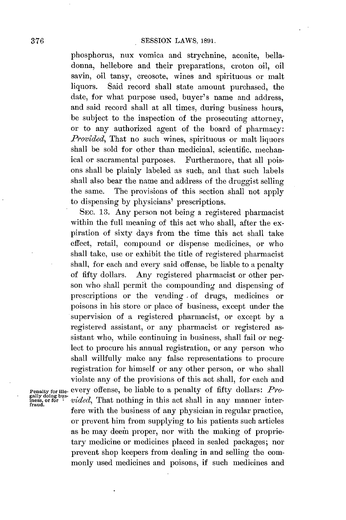phosphorus, nux vomica and strychnine, aconite, belladonna, hellebore and their preparations, croton oil, oil savin, oil tansy, creosote, wines and spirituous or malt liquors. Said record shall state amount purchased, the date, for what purpose used, buyer's name and address, and said record shall at all times, during business hours, be subject to the inspection of the prosecuting attorney, or to any authorized agent of the board of pharmacy: *Provided,* That no such wines, spirituous or malt liquors shall be sold for other than medicinal, scientific, mechanical or sacramental purposes. Furthermore, that all poisons shall be plainly labeled as such, and that such labels shall also bear the name and address of the druggist selling the same. The provisions of this section shall not apply to dispensing **by** physicians' prescriptions.

**SEC. 13.** Any person not being a registered pharmacist within the full meaning of this act who shall, after the expiration of sixty days from the time this act shall take effect, retail, compound or dispense medicines, or who shall take, use or exhibit the title of registered pharmacist shall, for each and every said offense, be liable to a penalty of fifty dollars. Any registered pharmacist or other person who shall permit the compounding and dispensing of prescriptions or the vending - of drugs, medicines or poisons in his store or place of business, except under the supervision of a registered pharmacist, or except **by** a registered assistant, or any pharmacist or registered assistant who, while continuing in business, shall fail or neglect to procure his annual registration, or any person who shall willfully make any false representations to procure registration for himself or any other person, or who shall violate any of the provisions of this act shall, for each and every offense, be liable to a penalty of fifty dollars: *Provided*, That nothing in this act shall in any manner interfere with the business of any physician in regular practice, or prevent him from supplying to his patients such articles as he may deemi proper, nor with the making of proprietary medicine or medicines placed in sealed packages; nor prevent shop keepers from dealing in and selling the commonly used medicines and poisons, if such medicines and

**Penalty for ille-**<br>gally doing bus-<br>iness, or for<br>fraud.